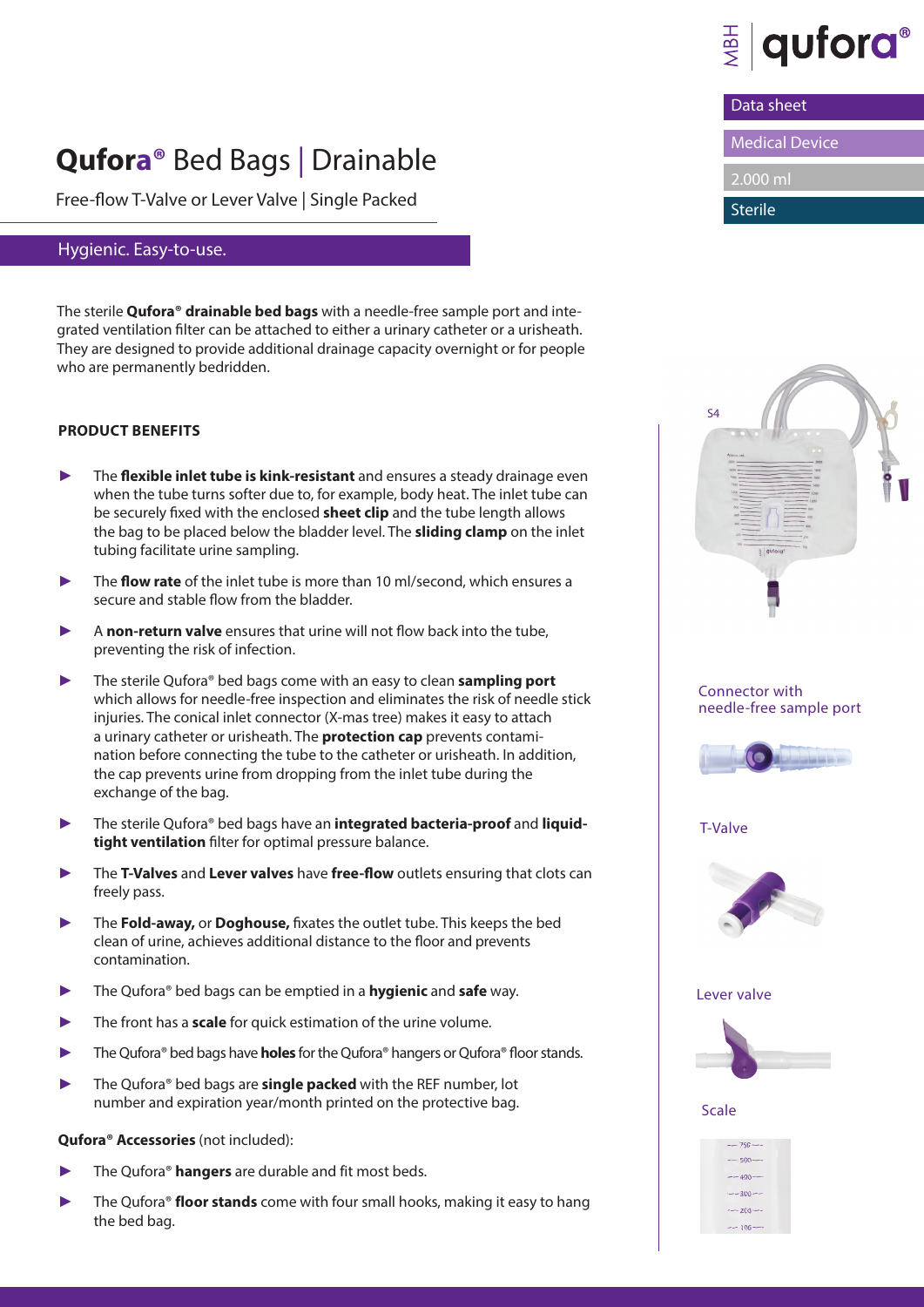

Data sheet

Medical Device

2.000 ml

Sterile

# **Qufora®** Bed Bags | Drainable

Free-flow T-Valve or Lever Valve | Single Packed

### Hygienic. Easy-to-use.

The sterile **Qufora® drainable bed bags** with a needle-free sample port and integrated ventilation filter can be attached to either a urinary catheter or a urisheath. They are designed to provide additional drainage capacity overnight or for people who are permanently bedridden.

#### **PRODUCT BENEFITS**

- The **flexible inlet tube is kink-resistant** and ensures a steady drainage even when the tube turns softer due to, for example, body heat. The inlet tube can be securely fixed with the enclosed **sheet clip** and the tube length allows the bag to be placed below the bladder level. The **sliding clamp** on the inlet tubing facilitate urine sampling.
- ► The **flow rate** of the inlet tube is more than 10 ml/second, which ensures a secure and stable flow from the bladder.
- A **non-return valve** ensures that urine will not flow back into the tube, preventing the risk of infection.
- The sterile Qufora<sup>®</sup> bed bags come with an easy to clean **sampling port** which allows for needle-free inspection and eliminates the risk of needle stick injuries. The conical inlet connector (X-mas tree) makes it easy to attach a urinary catheter or urisheath. The **protection cap** prevents contamination before connecting the tube to the catheter or urisheath. In addition, the cap prevents urine from dropping from the inlet tube during the exchange of the bag.
- The sterile Qufora® bed bags have an *integrated bacteria-proof* and *liquid***tight ventilation** filter for optimal pressure balance.
- The T-Valves and Lever valves have free-flow outlets ensuring that clots can freely pass.
- The **Fold-away,** or **Doghouse,** fixates the outlet tube. This keeps the bed clean of urine, achieves additional distance to the floor and prevents contamination.
- The Qufora® bed bags can be emptied in a **hygienic** and **safe** way.
- The front has a **scale** for quick estimation of the urine volume.
- The Qufora<sup>®</sup> bed bags have **holes** for the Qufora<sup>®</sup> hangers or Qufora<sup>®</sup> floor stands.
- The Qufora<sup>®</sup> bed bags are **single packed** with the REF number, lot number and expiration year/month printed on the protective bag.

#### **Qufora® Accessories** (not included):

- The Qufora<sup>®</sup> hangers are durable and fit most beds.
- The Qufora® **floor stands** come with four small hooks, making it easy to hang the bed bag.



Scale

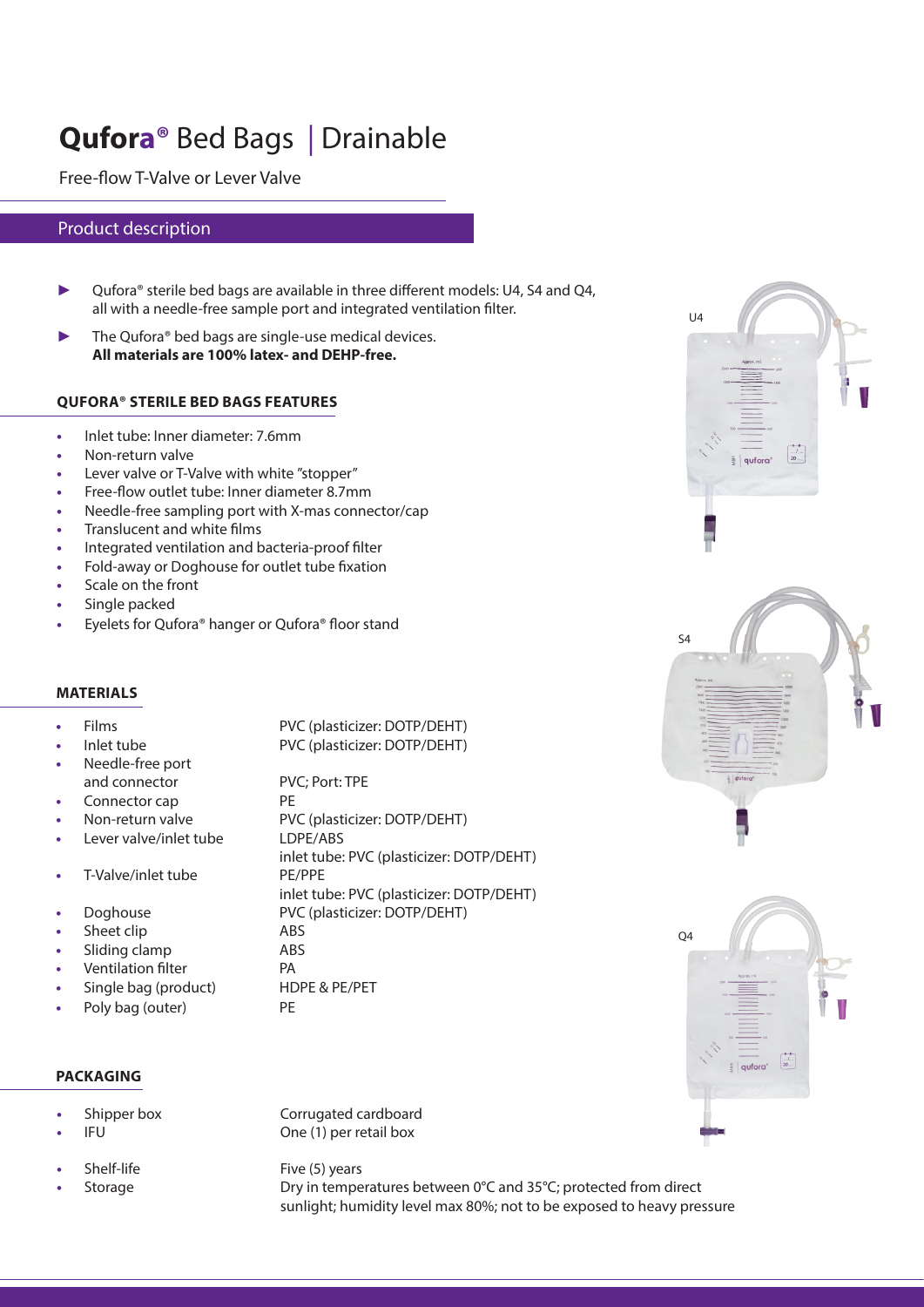# **Qufora®** Bed Bags | Drainable

Free-flow T-Valve or Lever Valve

#### Product description

- ► Qufora® sterile bed bags are available in three different models: U4, S4 and Q4, all with a needle-free sample port and integrated ventilation filter.
- $\blacktriangleright$  The Qufora® bed bags are single-use medical devices. **All materials are 100% latex- and DEHP-free.**

#### **QUFORA® STERILE BED BAGS FEATURES**

- **•** Inlet tube: Inner diameter: 7.6mm
- **•** Non-return valve
- **•** Lever valve or T-Valve with white "stopper"
- **•** Free-flow outlet tube: Inner diameter 8.7mm
- **•** Needle-free sampling port with X-mas connector/cap
- **•** Translucent and white films
- **•** Integrated ventilation and bacteria-proof filter
- **•** Fold-away or Doghouse for outlet tube fixation
- **•** Scale on the front
- **•** Single packed
- **•** Eyelets for Qufora® hanger or Qufora® floor stand

#### **MATERIALS**

#### **•** Films PVC (plasticizer: DOTP/DEHT) **•** Inlet tube PVC (plasticizer: DOTP/DEHT) **•** Needle-free port and connector PVC; Port: TPE **• Connector cap** PE **•** Non-return valve PVC (plasticizer: DOTP/DEHT) **•** Lever valve/inlet tube LDPE/ABS inlet tube: PVC (plasticizer: DOTP/DEHT) T-Valve/inlet tube PE/PPE inlet tube: PVC (plasticizer: DOTP/DEHT) **•** Doghouse PVC (plasticizer: DOTP/DEHT) **•** Sheet clip **ABS •** Sliding clamp ABS *•* **Ventilation filter PA •** Single bag (product) HDPE & PE/PET **•** Poly bag (outer) PE



 $U<sub>4</sub>$ 





#### **PACKAGING**

- 
- 
- 
- 

**•** Shipper box Corrugated cardboard **FU** One (1) per retail box

**Five (5) years** Five (5) years **•• Storage Storage Dry in temperatures between 0°C and 35°C; protected from direct** sunlight; humidity level max 80%; not to be exposed to heavy pressure

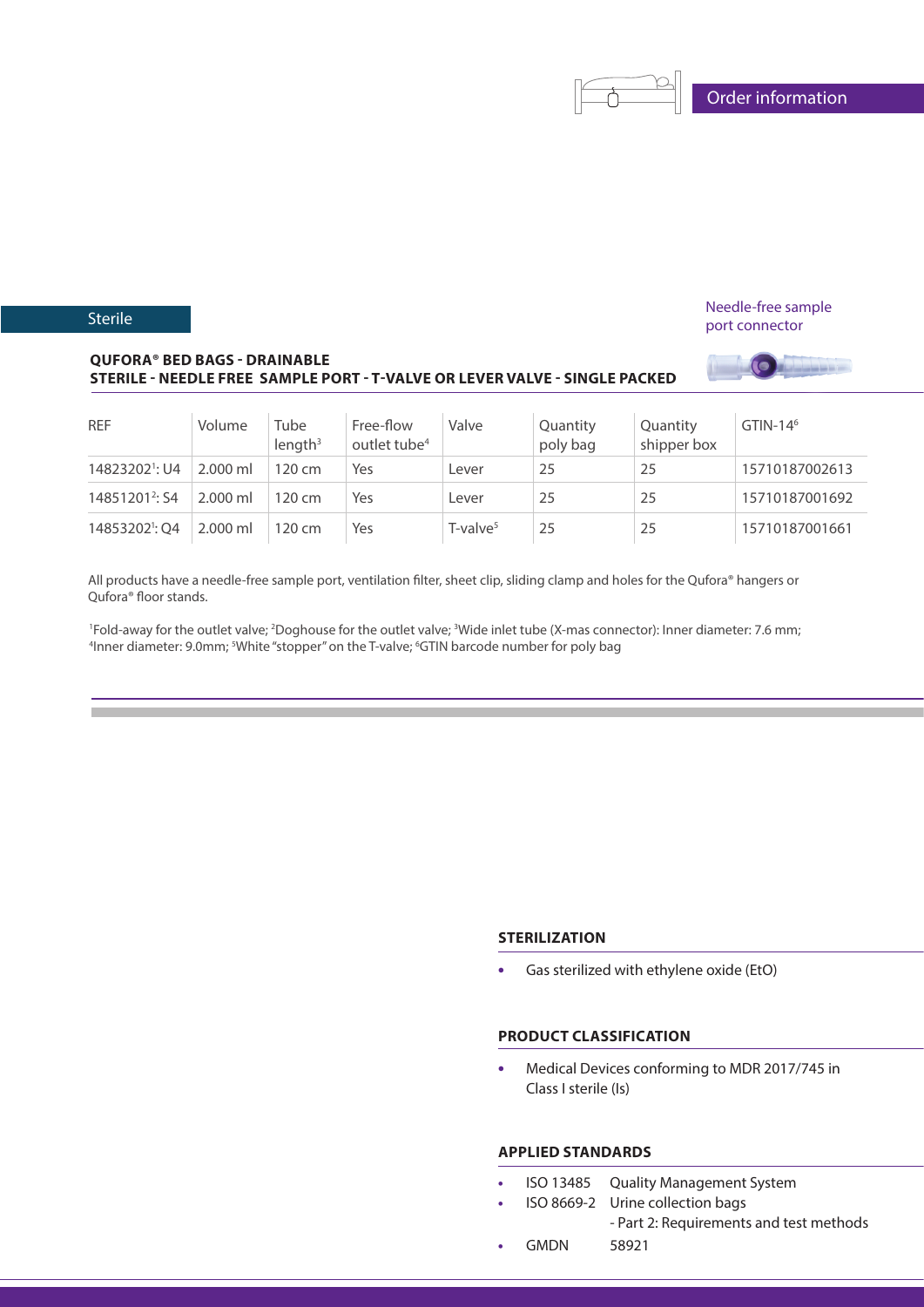Needle-free sample port connector

**LEEP** 

#### **QUFORA® BED BAGS - DRAINABLE STERILE - NEEDLE FREE SAMPLE PORT - T-VALVE OR LEVER VALVE - SINGLE PACKED**

| <b>REF</b>                 | Volume     | Tube<br>$l$ ength <sup>3</sup> | Free-flow<br>outlet tube <sup>4</sup> | Valve          | Quantity<br>poly bag | Quantity<br>shipper box | $GTIN-146$     |
|----------------------------|------------|--------------------------------|---------------------------------------|----------------|----------------------|-------------------------|----------------|
| 14823202 <sup>1</sup> : U4 | $2.000$ ml | $120 \, \text{cm}$             | Yes                                   | _ever          | 25                   | 25                      | 15710187002613 |
| 14851201 <sup>2</sup> : S4 | $2.000$ ml | $120 \, \text{cm}$             | Yes                                   | Lever          | 25                   | 25                      | 15710187001692 |
| 14853202 <sup>1</sup> : O4 | $2.000$ ml | $120 \, \text{cm}$             | Yes                                   | $T$ -valve $5$ | 25                   | 25                      | 15710187001661 |

All products have a needle-free sample port, ventilation filter, sheet clip, sliding clamp and holes for the Qufora® hangers or Qufora® floor stands.

<sup>1</sup>Fold-away for the outlet valve; <sup>2</sup>Doghouse for the outlet valve; <sup>3</sup>Wide inlet tube (X-mas connector): Inner diameter: 7.6 mm;<br><sup>4</sup>Inner diameter: 9 0mm<sup>, s</sup>White "stonner" on the T-valve: <sup>6</sup>GTIN barcode number for nol Inner diameter: 9.0mm; <sup>s</sup>White "stopper" on the T-valve; <sup>6</sup>GTIN barcode number for poly bag

### **STERILIZATION**

**•** Gas sterilized with ethylene oxide (EtO)

#### **PRODUCT CLASSIFICATION**

**•** Medical Devices conforming to MDR 2017/745 in Class I sterile (Is)

#### **APPLIED STANDARDS**

- **•** ISO 13485 Quality Management System
- **•** ISO 8669-2 Urine collection bags - Part 2: Requirements and test methods
- **•** GMDN 58921

#### **Sterile**